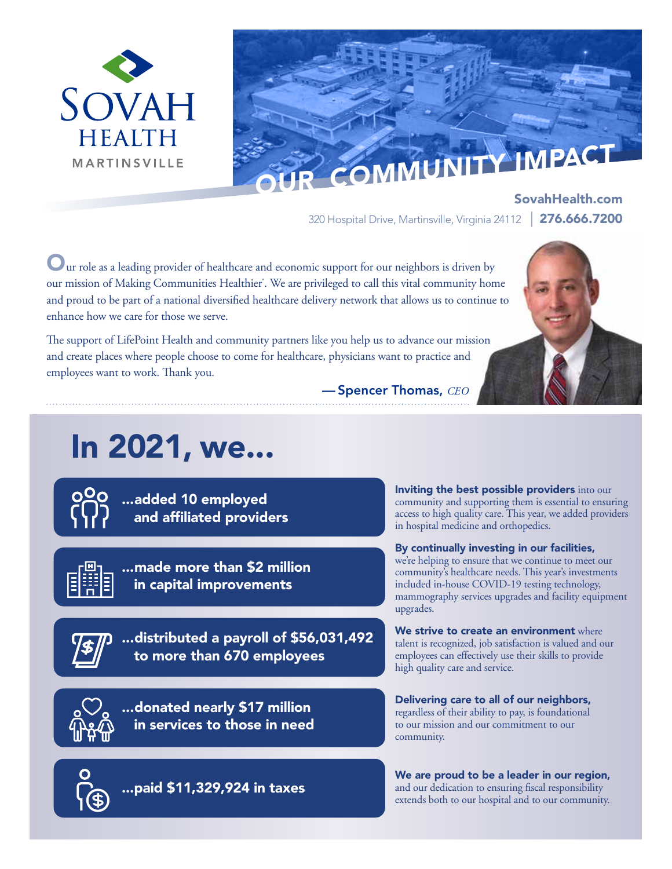



SovahHealth.com 320 Hospital Drive, Martinsville, Virginia 24112 | 276.666.7200

Uur role as a leading provider of healthcare and economic support for our neighbors is driven by our mission of Making Communities Healthier<sup>\*</sup>. We are privileged to call this vital community home and proud to be part of a national diversified healthcare delivery network that allows us to continue to enhance how we care for those we serve.

The support of LifePoint Health and community partners like you help us to advance our mission and create places where people choose to come for healthcare, physicians want to practice and employees want to work. Thank you.

— Spencer Thomas, *CEO*

# In 2021, we...

...added 10 employed and affiliated providers



...made more than \$2 million in capital improvements

...distributed a payroll of \$56,031,492 to more than 670 employees

...donated nearly \$17 million in services to those in need

Inviting the best possible providers into our community and supporting them is essential to ensuring access to high quality care. This year, we added providers in hospital medicine and orthopedics.

By continually investing in our facilities, we're helping to ensure that we continue to meet our community's healthcare needs. This year's investments included in-house COVID-19 testing technology, mammography services upgrades and facility equipment upgrades.

We strive to create an environment where talent is recognized, job satisfaction is valued and our employees can effectively use their skills to provide high quality care and service.

Delivering care to all of our neighbors, regardless of their ability to pay, is foundational to our mission and our commitment to our community.

...paid \$11,329,924 in taxes

We are proud to be a leader in our region, and our dedication to ensuring fiscal responsibility extends both to our hospital and to our community.